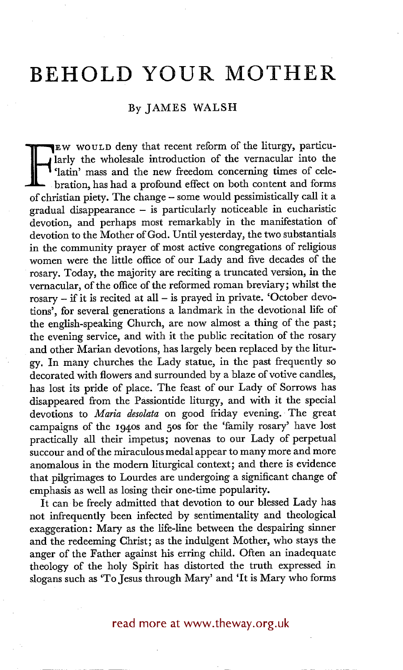## **BEHOLD YOUR MOTHER**

## By JAMES WALSH

**F** <sup>larly</sup> the wholesale introduction of the vernacular into the <br>
<sup>6</sup> <sup>c</sup>latin' mass and the new freedom concerning times of cele-<br>
bration, has had a profound effect on both content and forms<br>
of christian piety. The ch EW WOULD deny that recent reform of the liturgy, particularly the wholesale introduction of the vernacular into the 'latin' mass and the new freedom concerning times of celebration, has had a profound effect on both content and forms gradual disappearance - is particularly noticeable in eucharistic devotion, and perhaps most remarkably in the manifestation of devotion to the Mother of God. Until yesterday, the two substantials in the community prayer of most active congregations of religious women were the little office of our Lady and five decades of the rosary. Today, the majority are reciting a truncated version, in the vernacular, of the office of the reformed roman breviary; whilst the  $r$ rosary – if it is recited at all – is prayed in private. 'October devotions', for several generations a landmark in the devotional life of the english-speaking Church, are now almost a thing of the past; the evening service, and with it the public recitation of the rosary and other Marian devotions, has largely been replaced by the liturgy. In many churches the Lady statue, in the past frequently so decorated with flowers and surrounded by a blaze of votive candles, has lost its pride of place. The feast of our Lady of Sorrows has disappeared from the Passiontide liturgy, and with it the special devotions to *Maria desolata* on good friday evening. The great campaigns of the i94os and 5os for the 'family rosary' have lost practically all their impetus; novenas to our Lady of perpetual succour and of the miraculous medal appear to many more and more anomalous in the modern liturgical context; and there is evidence that pilgrimages to Lourdes are undergoing a significant change of emphasis as well as losing their one-time popularity.

It can be freely admitted that devotion to our blessed Lady has not infrequently been infected by sentimentality and theological exaggeration: Mary as the life-line between the despairing sinner and the redeeming Christ; as the indulgent Mother, who stays the anger of the Father against his erring child. Often an inadequate theology of the holy Spirit has distorted the truth expressed in slogans such as 'To Jesus through Mary' and 'It is Mary who forms

## read more at www.theway.org.uk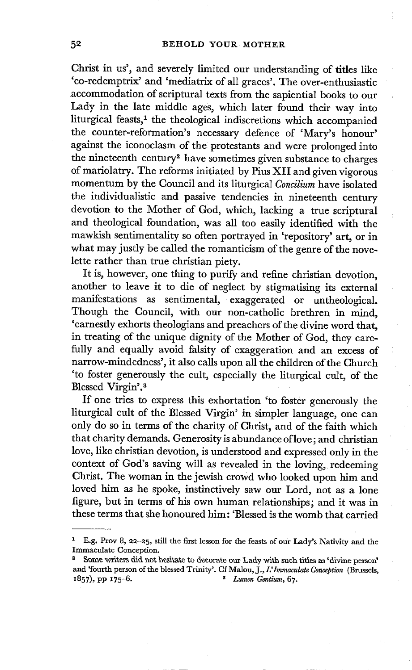Christ in us', and severely limited our understanding of titles like 'co-redemptrix' and 'mediatrix of all graces'. The over-enthusiastic accommodation of scriptural texts from the sapiential books to our Lady in the late middle ages, which later found their way into liturgical feasts,<sup>1</sup> the theological indiscretions which accompanied the counter-reformation's necessary defence of 'Mary's honour' against the iconoclasm of the: protestants and were prolonged into the nineteenth century<sup>2</sup> have sometimes given substance to charges of mariolatry. The reforms initiated by Pius XII and given vigorous momentum by the Council and its liturgical *Conciliura* have isolated the individualistic and passive tendencies in nineteenth century devotion to the Mother of God, which, lacking a true scriptural and theological foundation, was all too easily identified with the mawkish sentimentality so often portrayed in 'repository' art, or in what may justly be called the romanticism of the genre of the novelette rather than true christian piety.

It is, however, one thing to purify and refine christian devotion, another to leave it to die of neglect by stigmatising its external manifestations as sentimental, exaggerated or untheological. Though the Council, with our non-catholic brethren in mind, 'earnestly exhorts theologians and preachers of the divine word that, in treating of the unique dignity of the Mother of God, they carefully and equally avoid falsity of exaggeration and an excess of narrow-mindedness', it also calls upon all the children of the Church 'to foster generously the cult, especially the liturgical cult, of the Blessed Virgin'.<sup>3</sup>

If one tries to express this exhortation 'to foster generously the liturgical cult of the Blessed Virgin' in simpler language, one can only do so in terms of the charity of Christ, and of the faith which that charity demands. Generosity is abundance of love; and christian love, like christian devotion, is understood and expressed only in the context of God's saving will as revealed in the loving, redeeming Christ. The woman in the jewish crowd who looked upon him and loved him as he spoke, instinctively saw our Lord, not as a lone figure, but in terms of his own human relationships; and it was in these terms that she honoured him: 'Blessed is the womb that carried

E.g. Prov 8, 22-25, still the first lesson for the feasts of our Lady's Nativity and the Immaculate Conception.

Some writers did not hesitate to decorate our Lady with such titles as 'divine person' and 'fourth person of the blessed Trinity'. Cf Malou, J., *L'Immaeulate Conception* (Brussels, 1857), pp i75\_6. *8 Lumen Gentium,* 67.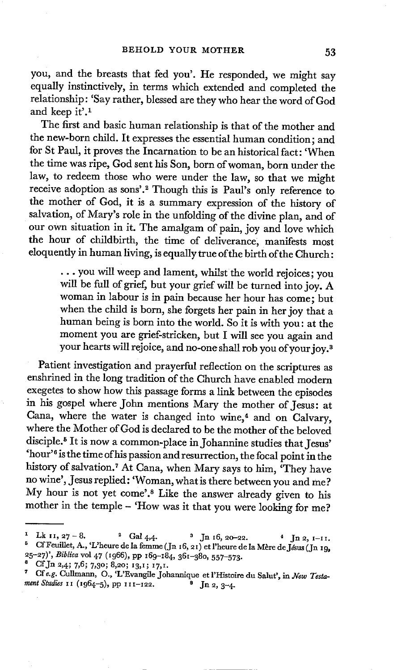you, and the breasts that fed you'. He responded, we might say equally instinctively, in terms which extended and completed the relationship: 'Say rather, blessed are they who hear the word of God and keep it'.<sup>1</sup>

The first and basic human relationship is that of the mother and the new-born child. It expresses the essential human condition; and for St Paul, it proves the Incarnation to be an historical fact: 'When the time was ripe, God sent his Son, born of woman, born under the law, to redeem those who were under the law, so that we might receive adoption as sons'.<sup>2</sup> Though this is Paul's only reference to the mother of God, it is a summary expression of the history of salvation, of Mary's role in the unfolding of the divine plan, and of our own situation in it. The amalgam of pain, joy and love which the hour of childbirth, the time of deliverance, manifests most eloquently in human living, is equally true of the birth of the Church:

> **•..** you will weep and lament, whilst the world rejoices; you will be full of grief, but your grief will be turned into joy. A woman in labour is in pain because her hour has come; but when the child is born, she forgets her pain in her joy that a human being is born into the world. So it is with you: at the moment you are grief-stricken, but I will see you again and your hearts will rejoice, and no-one shall rob you of your joy. s

Patient investigation and prayerful reflection on the scriptures as enshrined in the long tradition of the Church have enabled modern exegetes to show how this passage forms a link between the episodes in his gospel where John mentions Mary the mother of Jesus: at Cana, where the water is changed into wine,<sup>4</sup> and on Calvary, where the Mother of God is declared to be the mother of the beloved disciple.<sup>5</sup> It is now a common-place in Johannine studies that Jesus' 'hour '6 is the time of his passion and resurrection, the focal point in the history of salvation.<sup>7</sup> At Cana, when Mary says to him, 'They have no wine', Jesus replied: 'Woman, what is there between you and me ? My hour is not yet come'.<sup>8</sup> Like the answer already given to his mother in the temple - 'How was it that you were looking for me?

<sup>&</sup>lt;sup>1</sup> Lk 11, 27 - 8. <sup>2</sup> Gal 4,4. <sup>3</sup> Jn 16, 20–22. <sup>4</sup> Jn 2, 1–11.  $^{\circ}$  Cf Feuillet, A., 'L'heure de la femme (Jn 16, 21) et l'heure de la Mère de Jésus (Jn 19. 25-27)' , *Bibliea* vol 47 *(I966),* PP I69--x84, 361-38o, 557-573.

Cf Jn 2,4; 7,6; 7,30; 8,20; 13,1; 17,1.

*<sup>7</sup> Cfe.g.* CuIlmaun, O., 'L'Evangile Joharmique et l'Histoire du Salut', in *Wew Testa. ment Studies 11* (1964-5), pp 111-122. <sup>8</sup> Jn 2, 3-4.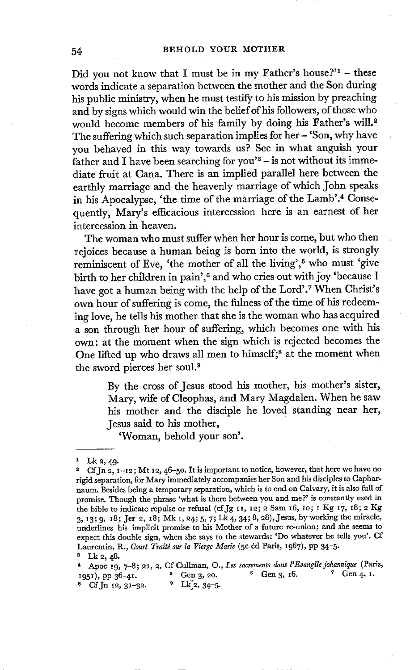Did you not know that I must be in my Father's house?'<sup>1</sup> - these words indicate a separation between the mother and the Son during his public ministry, when he must testify to his mission by preaching and by signs which would win the belief of his followers, of those who would become members of his family by doing his Father's will.<sup>2</sup> The suffering which such separation implies for her  $-$  'Son, why have you behaved in this way towards us? See in what anguish your father and I have been searching for you'<sup>8</sup> – is not without its immediate fruit at Cana. There is an implied parallel here between the earthly marriage and the heavenly marriage of which John speaks in his Apocalypse, 'the time of the marriage of the Lamb'.<sup>4</sup> Consequently, Mary's efficacious intercession here is an earnest of her intercession in heaven.

The woman who must suffer when her hour is come, but who then rejoices because a human being is born into the world, is strongly reminiscent of Eve, 'the mother of all the living',<sup>5</sup> who must 'give birth to her children in pain',<sup>6</sup> and who cries out with joy 'because I have got a human being with the help of the Lord'.<sup>7</sup> When Christ's own hour of suffering is come, the fulness of the time of his redeeming love, he tells his mother that she is the woman who has acquired a son through her hour of suffering, which becomes one with his own: at the moment when the sign which is rejected becomes the One lifted up who draws all men to himself;<sup>8</sup> at the moment when the sword pierces her soul.<sup>9</sup>

> By the cross of Jesus stood his mother, his mother's sister, Mary, wife of Cleophas, and Mary Magdalen. When he saw his mother and the disciple he loved standing near her, Jesus said to his mother,

'Woman, behold your son'.

<sup>4</sup> Apoc 19, 7-8; 21, 2. Cf Cullman, O., Les sacrements dans l'Evangile johannique (Paris,  $\frac{1}{2}$ <br> **6** Gen 2, 20, <sup>6</sup> Gen 2, 16, <sup>7</sup> Gen 4, 1.  $x_951$ , pp  $36-41$ .  $x_95-41$ .  $x_95-41$ .  $x_95-41$ .  $x_95-41$ .  $x_95-41$ .  $x_95-41$ .  $x_95-41$ .  $x_95-41$ .  $8$  Cf. Jn 12, 31-32.

 $1$  Lk 2, 49.

<sup>&</sup>lt;sup>2</sup> CfJn 2, 1-12; Mt 12, 46-50. It is important to notice, however, that here we have no rigid separation, for Mary immediately accompanies her Son and his disciples to Capharnaum. Besides being a temporary separation, which is to end on Calvary, it is also full of promise. Though the phrase 'what is there between you and me?' is constantly used in the bible to indicate repulse or refusal (cf Jg 11, 12; 2 Sam 16, 10; 1 Kg 17, 18; 2 Kg 3, I3; 9, iS; Jet 2, 18; Mk x, 24; 5, 7; Lk 4, 34; 8, 28),Jesus, by working the miracle, underlines his implicit promise to his Mother of a future re-union; and she seems to expect this double sign, when she says to the stewards: 'Do whatever he tells you'. Cf Laurentin, R., *Court Traité sur la Vierge Marie* (5e éd Paris, 1967), pp 34-5.

<sup>&</sup>lt;sup>3</sup> Lk  $2, 48$ .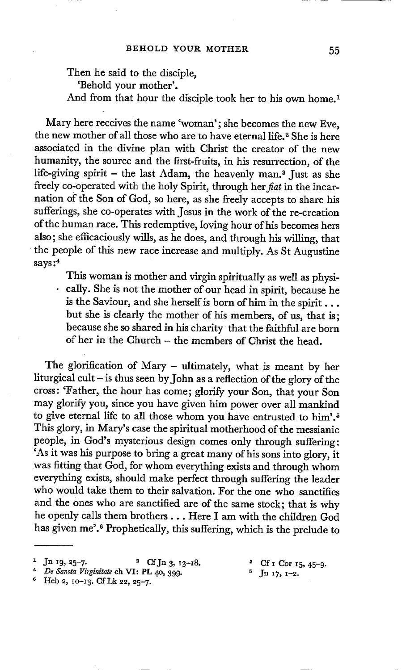Then he said to the disciple, 'Behold your mother'. And from that hour the disciple took her to his own home.<sup>1</sup>

Mary here receives the name 'woman'; she becomes the new Eve, the new mother of all those who are to have eternal life.<sup>2</sup> She is here associated in the divine plan with Christ the creator of the new humanity, the source and the first-fruits, in his resurrection, of the life-giving spirit - the last Adam, the heavenly man.<sup>3</sup> Just as she freely co-operated with the holy Spirit, through *her fiat* in the incarnation of the Son of God, so here, as she freely accepts to share his sufferings, she co-operates with Jesus in the work of the re-creation of the human race. This redemptive, loving hour of his becomes hers also; she efficaciously wills, as he does, and through his willing, that the people of this new race increase and multiply. As St Augustine says **:4** 

This woman is mother and virgin spiritually as well as physi- • cally. She is not the mother of our head in spirit, because he is the Saviour, and she herself is born of him in the spirit... but she is clearly the mother of his members, of us, that is; because she so shared in his charity that the faithful are born of her in the Church - the members of Christ the head.

The glorification of Mary - ultimately, what is meant by her liturgical cult - is thus seen by John as a reflection of the glory of the cross: 'Father, the hour has come; glorify your Son, that your Son may glorify you, since you have given him power over all mankind to give eternal life to all those whom you have entrusted to him'.<sup>5</sup> This glory, in Mary's case the spiritual motherhood of the messianic people, in God's mysterious design comes only through suffering: 'As it was his purpose to bring a great many of his sons into glory, it was fitting that God, for whom everything exists and through whom everything exists, should make perfect through suffering the leader who would take them to their salvation. For the one who sanctifies and the ones who are sanctified are of the same stock; that is why he openly calls them brothers... Here I am with the children God has given me'.<sup>6</sup> Prophetically, this suffering, which is the prelude to

- <sup>4</sup> De Sancta Virginitate ch VI: PL 40, 399.
- $6$  Heb 2, 10-13. Cf Lk 22, 25-7.
- 
- 

<sup>&</sup>lt;sup>1</sup> Jn 19, 25-7. <sup>2</sup> Cf Jn 3, 13-18. <sup>3</sup> Cf I Cor 15, 45-9.<br>
<sup>4</sup> *De Sancta Virginitate* ch VI: PL 40, 399. <sup>5</sup> Jn 17, 1-2.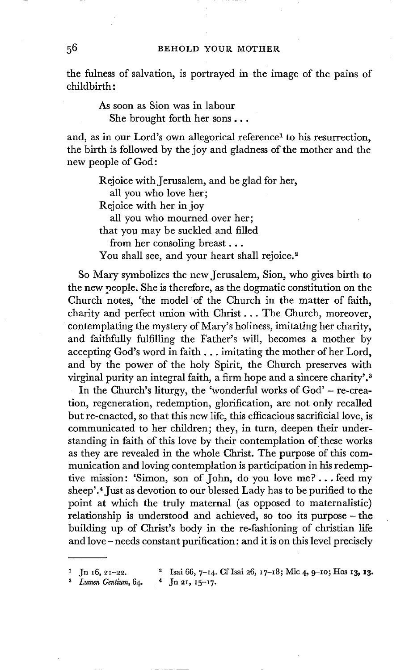the fulness of salvation, is portrayed in the image of the pains of childbirth:

> As soon as Sion was in labour She brought forth her sons...

and, as in our Lord's own allegorical reference<sup>1</sup> to his resurrection, the birth is followed by the joy and gladness of the mother and the new people of God:

> Rejoice with Jerusalem, and be glad for her, all you who love her; Rejoice with her in joy all you who mourned over her; that you may be suckled and filled from her consoling breast... You shall see, and your heart shall rejoice.<sup>2</sup>

So Mary symbolizes the new Jerusalem, Sion, who gives birth to the new people. She is therefore, as the dogmatic constitution on the Church notes, 'the model of the Church in the matter of faith, charity and perfect union with Christ... The Church, moreover, contemplating the mystery of Mary's holiness, imitating her charity, and faithfully fulfilling the Father's will, becomes a mother by accepting God's word in faith,., imitating the mother of her Lord, and by the power of the holy Spirit, the Church preserves with virginal purity an integral faith, a firm hope and a sincere charity'?

In the Church's liturgy, the 'wonderful works of God' - re-creation, regeneration, redemption, glorification, are not only recalled but re-enacted, so that this new life, this efficacious sacrificial love, is communicated to her children; they, in turn, deepen their understanding in faith of this love by their contemplation of these works as they are revealed in the whole Christ. The purpose of this communication and loving contemplation is participation in his redemptive mission: 'Simon, son of John, do you love me?.., feed my sheep'.<sup>4</sup> Just as devotion to our blessed Lady has to be purified to the point at which the truly maternal (as opposed to maternalistic) relationship is understood and achieved, so too its purpose- the building up of Christ's body in the re-fashioning of christian life and love- needs constant purification: and it is on this level precisely

- 1 Jn \*6, ~I-22. 2 Isai 66, 7-I4. CfIsai 26, I7-I8; Mic 4, 9-Io; Hos '3, '3.
- *Lumen Gentium,* 64. <sup>4</sup> Jn 21, 15-17.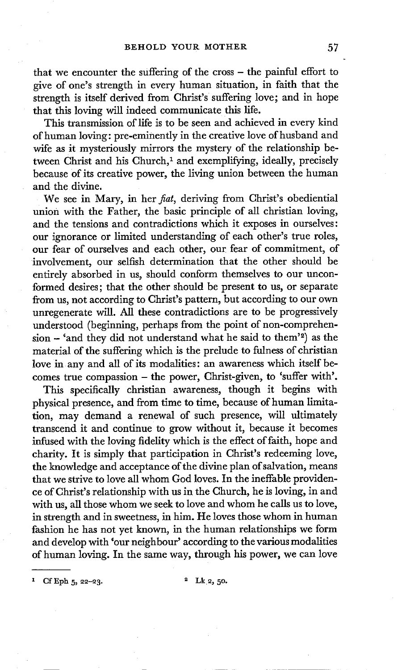that we encounter the suffering of the cross - the painful effort to give of one's strength in every human situation, in faith that the strength is itself derived from Christ's suffering love; and in hope that this loving will indeed communicate this life.

This transmission of life is to be seen and achieved in every kind of human loving: pre-eminently in the creative love of husband and wife as it mysteriously mirrors the mystery of the relationship between Christ and his Church,<sup>1</sup> and exemplifying, ideally, precisely because of its creative power, the living union between the human and the divine.

We see in Mary, in her *fiat,* deriving from Christ's obediential union with the Father, the basic principle of all christian loving, and the tensions and contradictions which it exposes in ourselves: our ignorance or limited understanding of each other's true roles, our fear of ourselves and each other, our fear of commitment, of involvement, our selfish determination that the other should be entirely absorbed in us, should conform themselves to our unconformed desires; that the other should be present to us, or separate from us, not according to Christ's pattern, but according to our own unregenerate will. All these contradictions are to be progressively understood (beginning, perhaps from the point of non-comprehen $sion - 'and they did not understand what he said to them'2) as the$ material of the suffering which is the prelude to fulness of christian love in any and all of its modalities: an awareness which itself becomes true compassion - the power, Christ-given, to 'suffer with'.

This specifically christian awareness, though it begins with physical presence, and from time to time, because of human limitation, may demand a renewal of such presence, will ultimately transcend it and continue to grow without it, because it becomes infused with the loving fidelity which is the effect of faith, hope and charity. It is simply that participation in Christ's redeeming love, the knowledge and acceptance of the divine plan of salvation, means that we strive to love all whom God loves. In the ineffable providence of Christ's relationship with us in the Church, he is loving, in and with us, all those whom we seek to love and whom he calls us to love, in strength and in sweetness, in him. He loves those whom in human fashion he has not yet known, in the human relationships we form and develop with 'our neighbour' according to the various modalities of human loving. In the same way, through his power, we can love

 $Cf$  Eph 5, 22-23.  $2^{2}$  Lk 2, 50.